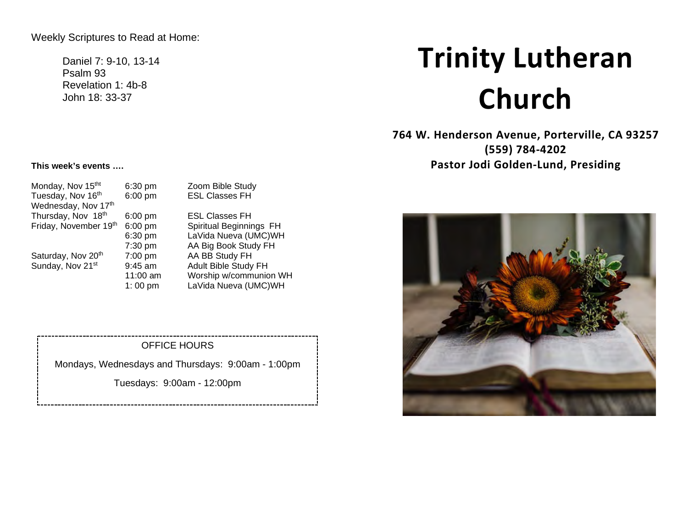Weekly Scriptures to Read at Home:

Daniel 7: 9-10, 13-14 Psalm 93 Revelation 1: 4b-8 John 18: 33-37

# **Trinity Lutheran Church**

**764 W. Henderson Avenue, Porterville, CA 93257 (559) 784-4202 Pastor Jodi Golden-Lund, Presiding**



#### **This week's events ….**

| Monday, Nov 15tht     | 6:30 pm           | Zoom Bible Study        |
|-----------------------|-------------------|-------------------------|
| Tuesday, Nov 16th     | 6:00 pm           | <b>ESL Classes FH</b>   |
| Wednesday, Nov 17th   |                   |                         |
| Thursday, Nov 18th    | $6:00 \text{ pm}$ | <b>ESL Classes FH</b>   |
| Friday, November 19th | 6:00 pm           | Spiritual Beginnings FH |
|                       | 6:30 pm           | LaVida Nueva (UMC)WH    |
|                       | 7:30 pm           | AA Big Book Study FH    |
| Saturday, Nov 20th    | 7:00 pm           | AA BB Study FH          |
| Sunday, Nov 21st      | $9:45$ am         | Adult Bible Study FH    |
|                       | 11:00 am          | Worship w/communion WH  |
|                       | 1:00 pm           | LaVida Nueva (UMC)WH    |
|                       |                   |                         |

#### OFFICE HOURS

Mondays, Wednesdays and Thursdays: 9:00am - 1:00pm

Tuesdays: 9:00am - 12:00pm